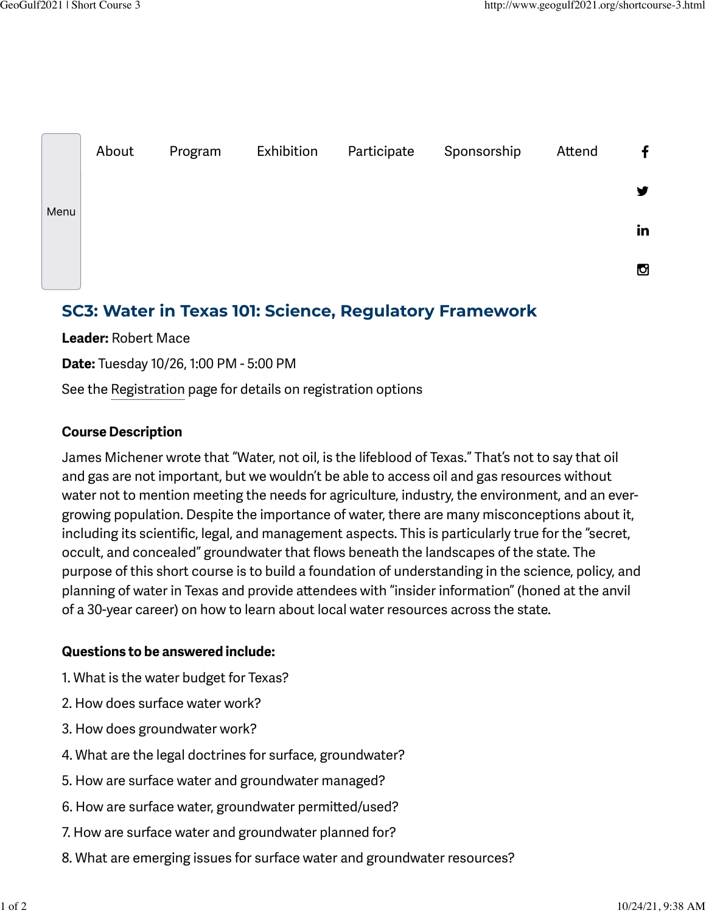

# **SC3: Water in Texas 101: Science, Regulatory Framework**

**Leader:** Robert Mace

**Date:** Tuesday 10/26, 1:00 PM - 5:00 PM

See the [Registration](http://www.geogulf2021.org/registration.html) page for details on registration options

# **Course Description**

James Michener wrote that "Water, not oil, is the lifeblood of Texas." That's not to say that oil and gas are not important, but we wouldn't be able to access oil and gas resources without water not to mention meeting the needs for agriculture, industry, the environment, and an evergrowing population. Despite the importance of water, there are many misconceptions about it, including its scientific, legal, and management aspects. This is particularly true for the "secret, occult, and concealed" groundwater that flows beneath the landscapes of the state. The purpose of this short course is to build a foundation of understanding in the science, policy, and planning of water in Texas and provide atendees with "insider information" (honed at the anvil of a 30-year career) on how to learn about local water resources across the state.

### **Questions to be answered include:**

- 1. What is the water budget for Texas?
- 2. How does surface water work?
- 3. How does groundwater work?
- 4. What are the legal doctrines for surface, groundwater?
- 5. How are surface water and groundwater managed?
- 6. How are surface water, groundwater permited/used?
- 7. How are surface water and groundwater planned for?
- 8. What are emerging issues for surface water and groundwater resources?